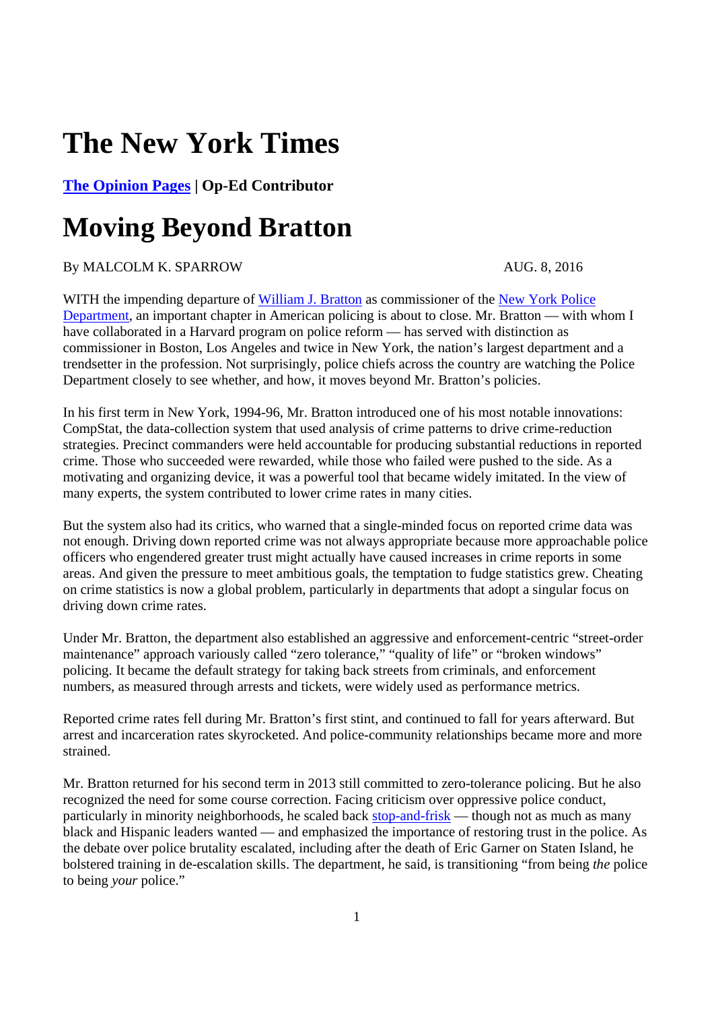## **The New York Times**

## **The Opinion Pages | Op-Ed Contributor**

## **Moving Beyond Bratton**

## By MALCOLM K. SPARROW AUG. 8, 2016

WITH the impending departure of William J. Bratton as commissioner of the New York Police Department, an important chapter in American policing is about to close. Mr. Bratton — with whom I have collaborated in a Harvard program on police reform — has served with distinction as commissioner in Boston, Los Angeles and twice in New York, the nation's largest department and a trendsetter in the profession. Not surprisingly, police chiefs across the country are watching the Police Department closely to see whether, and how, it moves beyond Mr. Bratton's policies.

In his first term in New York, 1994-96, Mr. Bratton introduced one of his most notable innovations: CompStat, the data-collection system that used analysis of crime patterns to drive crime-reduction strategies. Precinct commanders were held accountable for producing substantial reductions in reported crime. Those who succeeded were rewarded, while those who failed were pushed to the side. As a motivating and organizing device, it was a powerful tool that became widely imitated. In the view of many experts, the system contributed to lower crime rates in many cities.

But the system also had its critics, who warned that a single-minded focus on reported crime data was not enough. Driving down reported crime was not always appropriate because more approachable police officers who engendered greater trust might actually have caused increases in crime reports in some areas. And given the pressure to meet ambitious goals, the temptation to fudge statistics grew. Cheating on crime statistics is now a global problem, particularly in departments that adopt a singular focus on driving down crime rates.

Under Mr. Bratton, the department also established an aggressive and enforcement-centric "street-order maintenance" approach variously called "zero tolerance," "quality of life" or "broken windows" policing. It became the default strategy for taking back streets from criminals, and enforcement numbers, as measured through arrests and tickets, were widely used as performance metrics.

Reported crime rates fell during Mr. Bratton's first stint, and continued to fall for years afterward. But arrest and incarceration rates skyrocketed. And police-community relationships became more and more strained.

Mr. Bratton returned for his second term in 2013 still committed to zero-tolerance policing. But he also recognized the need for some course correction. Facing criticism over oppressive police conduct, particularly in minority neighborhoods, he scaled back stop-and-frisk — though not as much as many black and Hispanic leaders wanted — and emphasized the importance of restoring trust in the police. As the debate over police brutality escalated, including after the death of Eric Garner on Staten Island, he bolstered training in de-escalation skills. The department, he said, is transitioning "from being *the* police to being *your* police."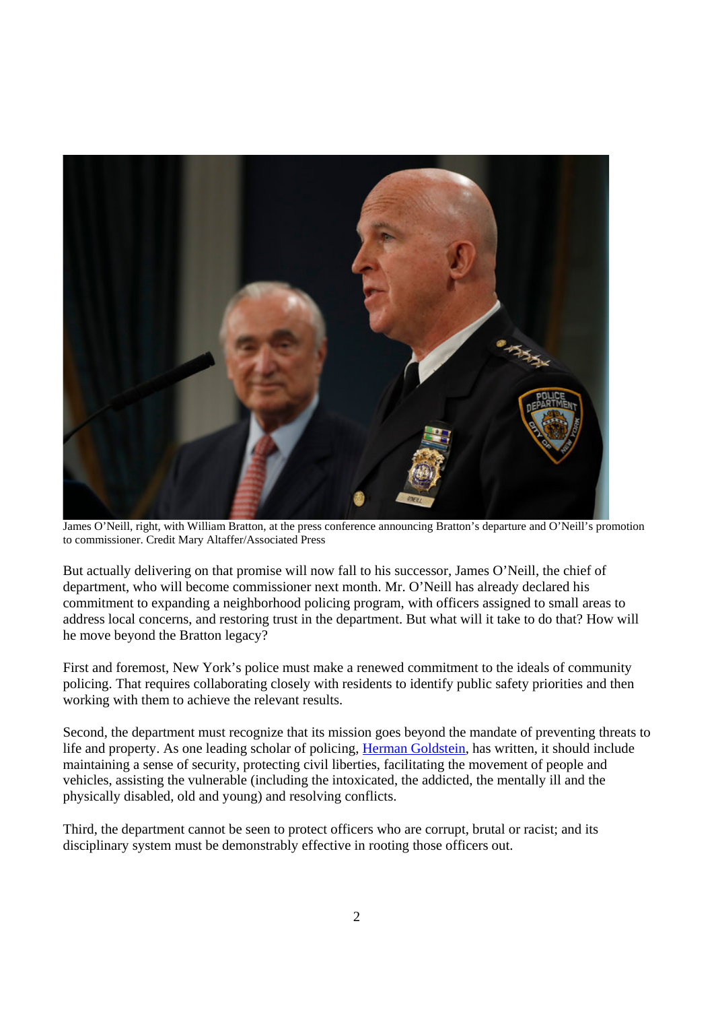

James O'Neill, right, with William Bratton, at the press conference announcing Bratton's departure and O'Neill's promotion to commissioner. Credit Mary Altaffer/Associated Press

But actually delivering on that promise will now fall to his successor, James O'Neill, the chief of department, who will become commissioner next month. Mr. O'Neill has already declared his commitment to expanding a neighborhood policing program, with officers assigned to small areas to address local concerns, and restoring trust in the department. But what will it take to do that? How will he move beyond the Bratton legacy?

First and foremost, New York's police must make a renewed commitment to the ideals of community policing. That requires collaborating closely with residents to identify public safety priorities and then working with them to achieve the relevant results.

Second, the department must recognize that its mission goes beyond the mandate of preventing threats to life and property. As one leading scholar of policing, Herman Goldstein, has written, it should include maintaining a sense of security, protecting civil liberties, facilitating the movement of people and vehicles, assisting the vulnerable (including the intoxicated, the addicted, the mentally ill and the physically disabled, old and young) and resolving conflicts.

Third, the department cannot be seen to protect officers who are corrupt, brutal or racist; and its disciplinary system must be demonstrably effective in rooting those officers out.